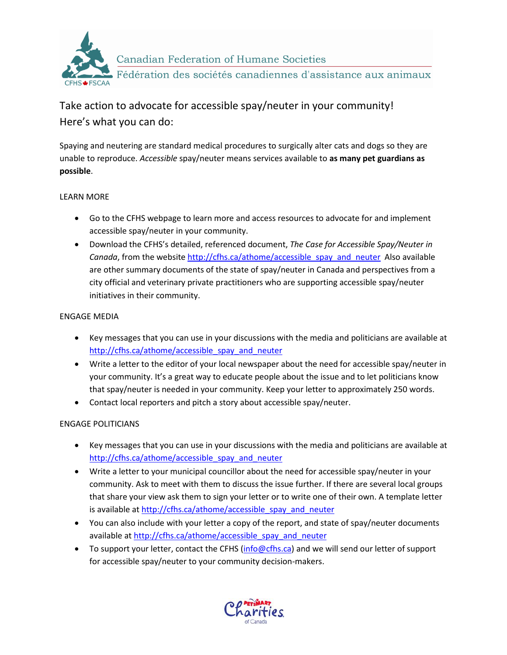

## Take action to advocate for accessible spay/neuter in your community! Here's what you can do:

Spaying and neutering are standard medical procedures to surgically alter cats and dogs so they are unable to reproduce. *Accessible* spay/neuter means services available to **as many pet guardians as possible**.

## LEARN MORE

- Go to the CFHS webpage to learn more and access resources to advocate for and implement accessible spay/neuter in your community.
- Download the CFHS's detailed, referenced document, *The Case for Accessible Spay/Neuter in Canada*, from the website http://cfhs.ca/athome/accessible\_spay\_and\_neuter\_Also available are other summary documents of the state of spay/neuter in Canada and perspectives from a city official and veterinary private practitioners who are supporting accessible spay/neuter initiatives in their community.

## ENGAGE MEDIA

- Key messages that you can use in your discussions with the media and politicians are available at [http://cfhs.ca/athome/accessible\\_spay\\_and\\_neuter](http://cfhs.ca/athome/accessible_spay_and_neuter)
- Write a letter to the editor of your local newspaper about the need for accessible spay/neuter in your community. It's a great way to educate people about the issue and to let politicians know that spay/neuter is needed in your community. Keep your letter to approximately 250 words.
- Contact local reporters and pitch a story about accessible spay/neuter.

## ENGAGE POLITICIANS

- Key messages that you can use in your discussions with the media and politicians are available at [http://cfhs.ca/athome/accessible\\_spay\\_and\\_neuter](http://cfhs.ca/athome/accessible_spay_and_neuter)
- Write a letter to your municipal councillor about the need for accessible spay/neuter in your community. Ask to meet with them to discuss the issue further. If there are several local groups that share your view ask them to sign your letter or to write one of their own. A template letter is available at [http://cfhs.ca/athome/accessible\\_spay\\_and\\_neuter](http://cfhs.ca/athome/accessible_spay_and_neuter)
- You can also include with your letter a copy of the report, and state of spay/neuter documents available a[t http://cfhs.ca/athome/accessible\\_spay\\_and\\_neuter](http://cfhs.ca/athome/accessible_spay_and_neuter)
- To support your letter, contact the CFHS [\(info@cfhs.ca\)](mailto:info@cfhs.ca) and we will send our letter of support for accessible spay/neuter to your community decision-makers.